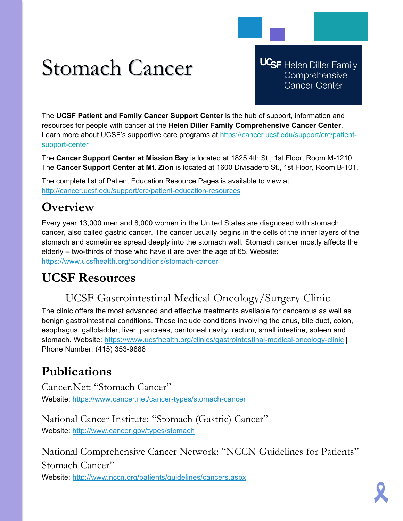# Stomach Cancer

**UCSF** Helen Diller Family Comprehensive **Cancer Center** 

The **UCSF Patient and Family Cancer Support Center** is the hub of support, information and resources for people with cancer at the **Helen Diller Family Comprehensive Cancer Center**. Learn more about UCSF's supportive care programs at https://cancer.ucsf.edu/support/crc/patientsupport-center

The **Cancer Support Center at Mission Bay** is located at 1825 4th St., 1st Floor, Room M-1210. The **Cancer Support Center at Mt. Zion** is located at 1600 Divisadero St., 1st Floor, Room B-101.

The complete list of Patient Education Resource Pages is available to view at <http://cancer.ucsf.edu/support/crc/patient-education-resources>

## **Overview**

Every year 13,000 men and 8,000 women in the United States are diagnosed with stomach cancer, also called gastric cancer. The cancer usually begins in the cells of the inner layers of the stomach and sometimes spread deeply into the stomach wall. Stomach cancer mostly affects the elderly – two-thirds of those who have it are over the age of 65. Website: <https://www.ucsfhealth.org/conditions/stomach-cancer>

## **UCSF Resources**

## UCSF Gastrointestinal Medical Oncology/Surgery Clinic

The clinic offers the most advanced and effective treatments available for cancerous as well as benign gastrointestinal conditions. These include conditions involving the anus, bile duct, colon, esophagus, gallbladder, liver, pancreas, peritoneal cavity, rectum, small intestine, spleen and stomach. Website:<https://www.ucsfhealth.org/clinics/gastrointestinal-medical-oncology-clinic> | Phone Number: (415) 353-9888

## **Publications**

Cancer.Net: "Stomach Cancer" Website:<https://www.cancer.net/cancer-types/stomach-cancer>

National Cancer Institute: "Stomach (Gastric) Cancer" Website:<http://www.cancer.gov/types/stomach>

National Comprehensive Cancer Network: "NCCN Guidelines for Patients" Stomach Cancer" Website:<http://www.nccn.org/patients/guidelines/cancers.aspx>